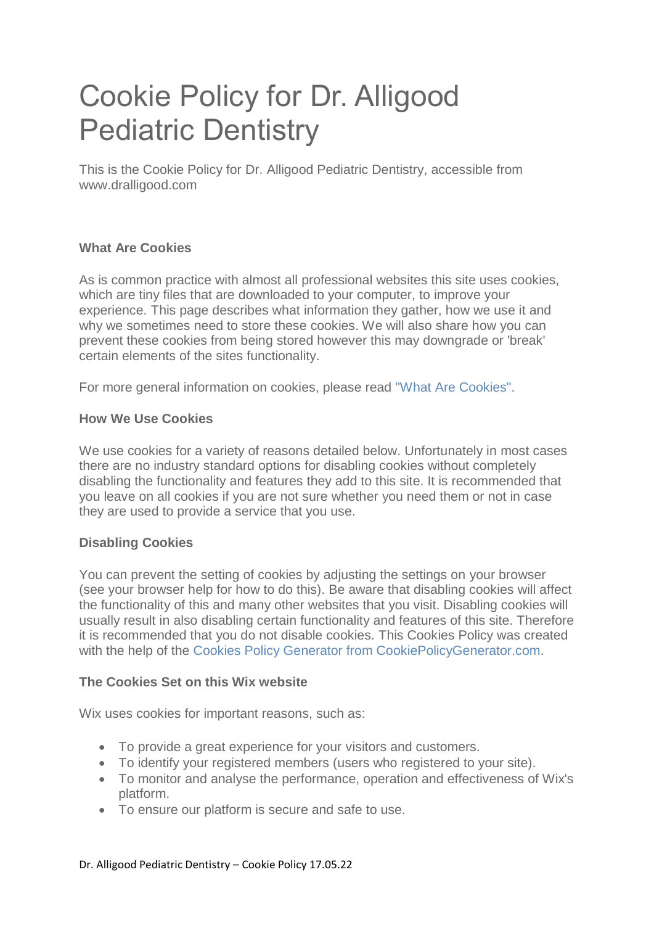# Cookie Policy for Dr. Alligood Pediatric Dentistry

This is the Cookie Policy for Dr. Alligood Pediatric Dentistry, accessible from www.dralligood.com

### **What Are Cookies**

As is common practice with almost all professional websites this site uses cookies, which are tiny files that are downloaded to your computer, to improve your experience. This page describes what information they gather, how we use it and why we sometimes need to store these cookies. We will also share how you can prevent these cookies from being stored however this may downgrade or 'break' certain elements of the sites functionality.

For more general information on cookies, please read ["What Are Cookies".](https://www.privacypolicyonline.com/what-are-cookies/)

#### **How We Use Cookies**

We use cookies for a variety of reasons detailed below. Unfortunately in most cases there are no industry standard options for disabling cookies without completely disabling the functionality and features they add to this site. It is recommended that you leave on all cookies if you are not sure whether you need them or not in case they are used to provide a service that you use.

#### **Disabling Cookies**

You can prevent the setting of cookies by adjusting the settings on your browser (see your browser help for how to do this). Be aware that disabling cookies will affect the functionality of this and many other websites that you visit. Disabling cookies will usually result in also disabling certain functionality and features of this site. Therefore it is recommended that you do not disable cookies. This Cookies Policy was created with the help of the [Cookies Policy Generator from CookiePolicyGenerator.com.](https://www.cookiepolicygenerator.com/cookie-policy-generator/)

#### **The Cookies Set on this Wix website**

Wix uses cookies for important reasons, such as:

- To provide a great experience for your visitors and customers.
- To identify your registered members (users who registered to your site).
- To monitor and analyse the performance, operation and effectiveness of Wix's platform.
- To ensure our platform is secure and safe to use.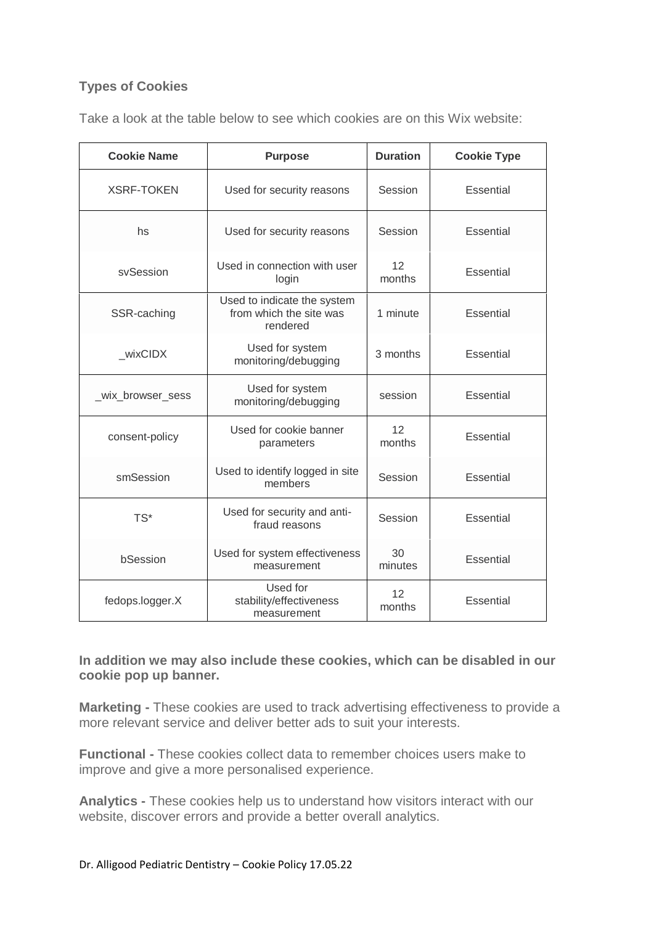## **Types of Cookies**

Take a look at the table below to see which cookies are on this Wix website:

| <b>Cookie Name</b> | <b>Purpose</b>                                                     | <b>Duration</b> | <b>Cookie Type</b> |
|--------------------|--------------------------------------------------------------------|-----------------|--------------------|
| <b>XSRF-TOKEN</b>  | Used for security reasons                                          | Session         | Essential          |
| hs                 | Used for security reasons                                          | Session         | <b>Essential</b>   |
| svSession          | Used in connection with user<br>login                              | 12<br>months    | Essential          |
| SSR-caching        | Used to indicate the system<br>from which the site was<br>rendered | 1 minute        | <b>Essential</b>   |
| wixCIDX            | Used for system<br>monitoring/debugging                            | 3 months        | <b>Essential</b>   |
| _wix_browser_sess  | Used for system<br>monitoring/debugging                            | session         | <b>Essential</b>   |
| consent-policy     | Used for cookie banner<br>parameters                               | 12<br>months    | <b>Essential</b>   |
| smSession          | Used to identify logged in site<br>members                         | Session         | Essential          |
| TS*                | Used for security and anti-<br>fraud reasons                       | Session         | <b>Essential</b>   |
| bSession           | Used for system effectiveness<br>measurement                       | 30<br>minutes   | Essential          |
| fedops.logger.X    | Used for<br>stability/effectiveness<br>measurement                 | 12<br>months    | Essential          |

**In addition we may also include these cookies, which can be disabled in our cookie pop up banner.**

**Marketing -** These cookies are used to track advertising effectiveness to provide a more relevant service and deliver better ads to suit your interests.

**Functional -** These cookies collect data to remember choices users make to improve and give a more personalised experience.

**Analytics -** These cookies help us to understand how visitors interact with our website, discover errors and provide a better overall analytics.